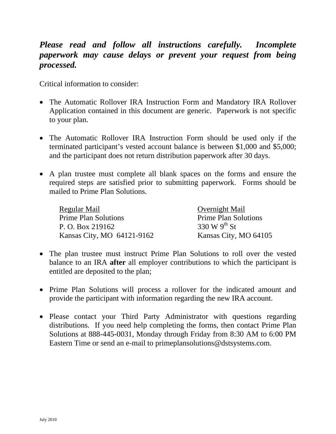# *Please read and follow all instructions carefully. Incomplete paperwork may cause delays or prevent your request from being processed.*

Critical information to consider:

- The Automatic Rollover IRA Instruction Form and Mandatory IRA Rollover Application contained in this document are generic. Paperwork is not specific to your plan.
- The Automatic Rollover IRA Instruction Form should be used only if the terminated participant's vested account balance is between \$1,000 and \$5,000; and the participant does not return distribution paperwork after 30 days.
- A plan trustee must complete all blank spaces on the forms and ensure the required steps are satisfied prior to submitting paperwork. Forms should be mailed to Prime Plan Solutions.

| Regular Mail                | Overnight Mail              |
|-----------------------------|-----------------------------|
| <b>Prime Plan Solutions</b> | <b>Prime Plan Solutions</b> |
| P. O. Box 219162            | 330 W $9^{th}$ St           |
| Kansas City, MO 64121-9162  | Kansas City, MO 64105       |

- The plan trustee must instruct Prime Plan Solutions to roll over the vested balance to an IRA **after** all employer contributions to which the participant is entitled are deposited to the plan;
- Prime Plan Solutions will process a rollover for the indicated amount and provide the participant with information regarding the new IRA account.
- Please contact your Third Party Administrator with questions regarding distributions. If you need help completing the forms, then contact Prime Plan Solutions at 888-445-0031, Monday through Friday from 8:30 AM to 6:00 PM Eastern Time or send an e-mail to primeplansolutions@dstsystems.com.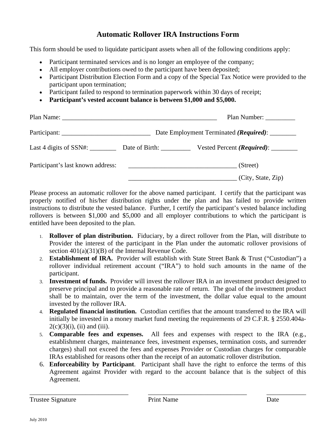## **Automatic Rollover IRA Instructions Form**

This form should be used to liquidate participant assets when all of the following conditions apply:

- Participant terminated services and is no longer an employee of the company;
- All employer contributions owed to the participant have been deposited;
- Participant Distribution Election Form and a copy of the Special Tax Notice were provided to the participant upon termination;
- Participant failed to respond to termination paperwork within 30 days of receipt;
- **Participant's vested account balance is between \$1,000 and \$5,000.**

|                                       |                                                 | Plan Number:                                 |  |
|---------------------------------------|-------------------------------------------------|----------------------------------------------|--|
|                                       | Date Employment Terminated (Required): ________ |                                              |  |
| Last 4 digits of SSN#: Date of Birth: |                                                 | Vested Percent ( <i>Required</i> ): ________ |  |
| Participant's last known address:     |                                                 | (Street)                                     |  |
|                                       |                                                 | (City, State, Zip)                           |  |

Please process an automatic rollover for the above named participant. I certify that the participant was properly notified of his/her distribution rights under the plan and has failed to provide written instructions to distribute the vested balance. Further, I certify the participant's vested balance including rollovers is between \$1,000 and \$5,000 and all employer contributions to which the participant is entitled have been deposited to the plan.

- 1. **Rollover of plan distribution.** Fiduciary, by a direct rollover from the Plan, will distribute to Provider the interest of the participant in the Plan under the automatic rollover provisions of section 401(a)(31)(B) of the Internal Revenue Code.
- 2. **Establishment of IRA.** Provider will establish with State Street Bank & Trust ("Custodian") a rollover individual retirement account ("IRA") to hold such amounts in the name of the participant.
- 3. **Investment of funds.** Provider will invest the rollover IRA in an investment product designed to preserve principal and to provide a reasonable rate of return. The goal of the investment product shall be to maintain, over the term of the investment, the dollar value equal to the amount invested by the rollover IRA.
- 4. **Regulated financial institution.** Custodian certifies that the amount transferred to the IRA will initially be invested in a money market fund meeting the requirements of 29 C.F.R. § 2550.404a- $2(c)(3)(i)$ , (ii) and (iii).
- 5. **Comparable fees and expenses.** All fees and expenses with respect to the IRA (e.g., establishment charges, maintenance fees, investment expenses, termination costs, and surrender charges) shall not exceed the fees and expenses Provider or Custodian charges for comparable IRAs established for reasons other than the receipt of an automatic rollover distribution.
- 6. **Enforceability by Participant**. Participant shall have the right to enforce the terms of this Agreement against Provider with regard to the account balance that is the subject of this Agreement.

\_\_\_\_\_\_\_\_\_\_\_\_\_\_\_\_\_\_\_\_\_\_\_\_\_\_\_\_\_\_ \_\_\_\_\_\_\_\_\_\_\_\_\_\_\_\_\_\_\_\_\_\_\_\_\_\_\_\_\_\_ \_\_\_\_\_\_\_\_\_\_\_\_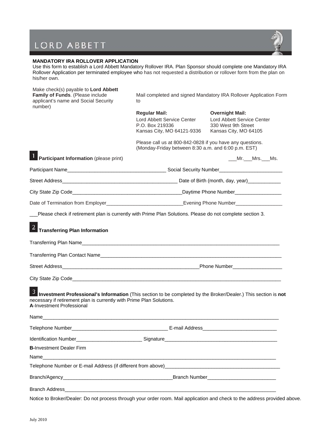# LORD ABBETT



 $\mathsf{I}$ 

### **MANDATORY IRA ROLLOVER APPLICATION**

Use this form to establish a Lord Abbett Mandatory Rollover IRA. Plan Sponsor should complete one Mandatory IRA Rollover Application per terminated employee who has not requested a distribution or rollover form from the plan on his/her own.

| Make check(s) payable to Lord Abbett<br>Family of Funds. (Please include<br>applicant's name and Social Security<br>number)                                                                                           | Mail completed and signed Mandatory IRA Rollover Application Form<br>to                                          |                                                                                                      |  |
|-----------------------------------------------------------------------------------------------------------------------------------------------------------------------------------------------------------------------|------------------------------------------------------------------------------------------------------------------|------------------------------------------------------------------------------------------------------|--|
|                                                                                                                                                                                                                       | <b>Regular Mail:</b><br>Lord Abbett Service Center<br>P.O. Box 219336<br>Kansas City, MO 64121-9336              | <b>Overnight Mail:</b><br>Lord Abbett Service Center<br>330 West 9th Street<br>Kansas City, MO 64105 |  |
|                                                                                                                                                                                                                       | Please call us at 800-842-0828 if you have any questions.<br>(Monday-Friday between 8:30 a.m. and 6:00 p.m. EST) |                                                                                                      |  |
| 1 Participant Information (please print)                                                                                                                                                                              |                                                                                                                  | ____Mr.____Mrs.___Ms.                                                                                |  |
|                                                                                                                                                                                                                       |                                                                                                                  |                                                                                                      |  |
|                                                                                                                                                                                                                       |                                                                                                                  |                                                                                                      |  |
|                                                                                                                                                                                                                       |                                                                                                                  |                                                                                                      |  |
|                                                                                                                                                                                                                       |                                                                                                                  |                                                                                                      |  |
| Please check if retirement plan is currently with Prime Plan Solutions. Please do not complete section 3.                                                                                                             |                                                                                                                  |                                                                                                      |  |
| 2 Transferring Plan Information                                                                                                                                                                                       |                                                                                                                  |                                                                                                      |  |
|                                                                                                                                                                                                                       |                                                                                                                  |                                                                                                      |  |
|                                                                                                                                                                                                                       |                                                                                                                  |                                                                                                      |  |
| 3 Investment Professional's Information (This section to be completed by the Broker/Dealer.) This section is not<br>necessary if retirement plan is currently with Prime Plan Solutions.<br>A-Investment Professional |                                                                                                                  |                                                                                                      |  |
|                                                                                                                                                                                                                       |                                                                                                                  |                                                                                                      |  |
|                                                                                                                                                                                                                       |                                                                                                                  |                                                                                                      |  |
| <b>B-Investment Dealer Firm</b>                                                                                                                                                                                       |                                                                                                                  |                                                                                                      |  |
| Name                                                                                                                                                                                                                  |                                                                                                                  |                                                                                                      |  |
|                                                                                                                                                                                                                       |                                                                                                                  |                                                                                                      |  |
|                                                                                                                                                                                                                       |                                                                                                                  |                                                                                                      |  |
|                                                                                                                                                                                                                       |                                                                                                                  |                                                                                                      |  |

Notice to Broker/Dealer: Do not process through your order room. Mail application and check to the address provided above.